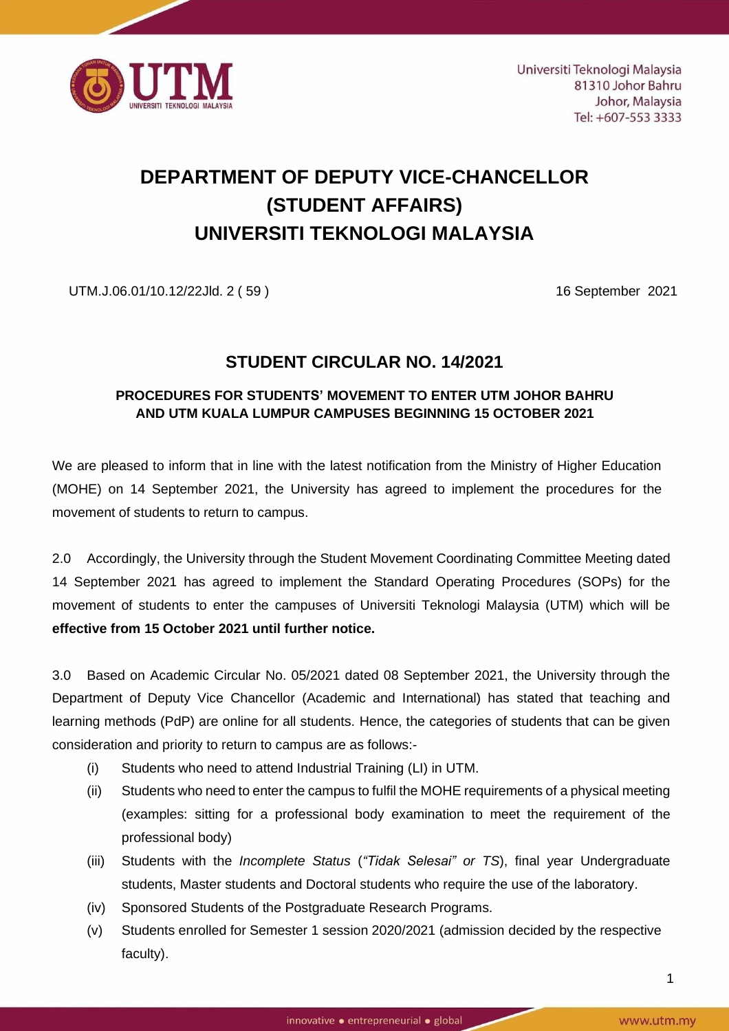

# **DEPARTMENT OF DEPUTY VICE-CHANCELLOR (STUDENT AFFAIRS) UNIVERSITI TEKNOLOGI MALAYSIA**

UTM.J.06.01/10.12/22Jld. 2 ( 59 ) 16 September 2021

## **STUDENT CIRCULAR NO. 14/2021**

### **PROCEDURES FOR STUDENTS' MOVEMENT TO ENTER UTM JOHOR BAHRU AND UTM KUALA LUMPUR CAMPUSES BEGINNING 15 OCTOBER 2021**

We are pleased to inform that in line with the latest notification from the Ministry of Higher Education (MOHE) on 14 September 2021, the University has agreed to implement the procedures for the movement of students to return to campus.

2.0 Accordingly, the University through the Student Movement Coordinating Committee Meeting dated 14 September 2021 has agreed to implement the Standard Operating Procedures (SOPs) for the movement of students to enter the campuses of Universiti Teknologi Malaysia (UTM) which will be **effective from 15 October 2021 until further notice.**

3.0 Based on Academic Circular No. 05/2021 dated 08 September 2021, the University through the Department of Deputy Vice Chancellor (Academic and International) has stated that teaching and learning methods (PdP) are online for all students. Hence, the categories of students that can be given consideration and priority to return to campus are as follows:-

- (i) Students who need to attend Industrial Training (LI) in UTM.
- (ii) Students who need to enter the campus to fulfil the MOHE requirements of a physical meeting (examples: sitting for a professional body examination to meet the requirement of the professional body)
- (iii) Students with the *Incomplete Status* (*"Tidak Selesai" or TS*), final year Undergraduate students, Master students and Doctoral students who require the use of the laboratory.
- (iv) Sponsored Students of the Postgraduate Research Programs.
- (v) Students enrolled for Semester 1 session 2020/2021 (admission decided by the respective faculty).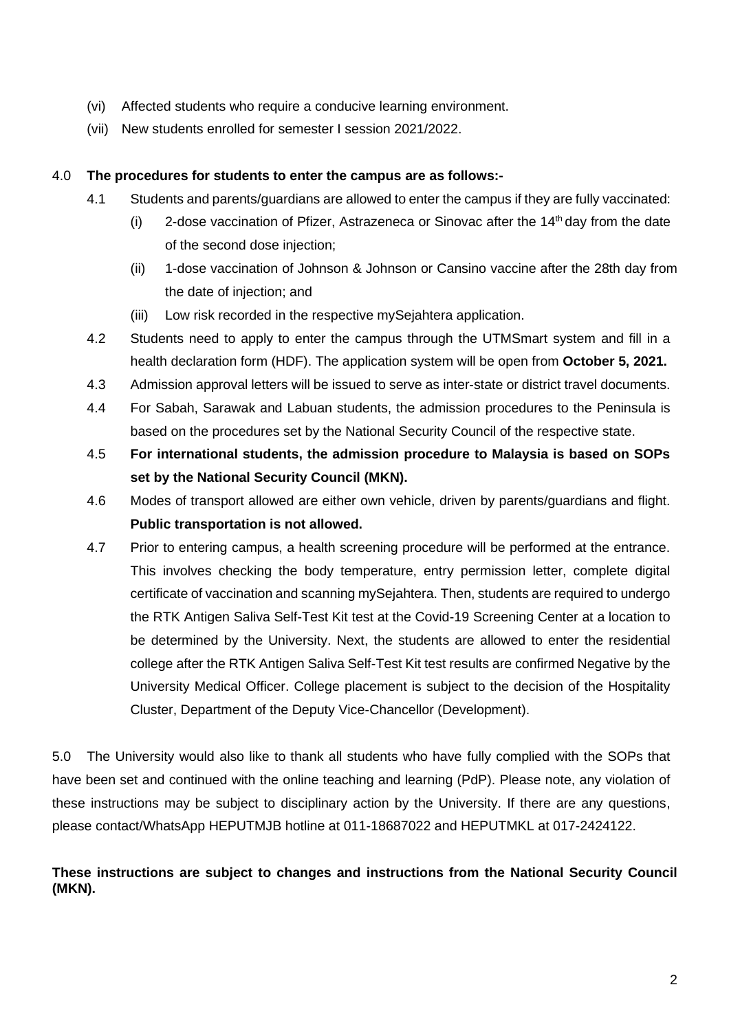- (vi) Affected students who require a conducive learning environment.
- (vii) New students enrolled for semester I session 2021/2022.

#### 4.0 **The procedures for students to enter the campus are as follows:-**

- 4.1 Students and parents/guardians are allowed to enter the campus if they are fully vaccinated:
	- (i) 2-dose vaccination of Pfizer, Astrazeneca or Sinovac after the  $14<sup>th</sup>$  day from the date of the second dose injection;
	- (ii) 1-dose vaccination of Johnson & Johnson or Cansino vaccine after the 28th day from the date of injection; and
	- (iii) Low risk recorded in the respective mySejahtera application.
- 4.2 Students need to apply to enter the campus through the UTMSmart system and fill in a health declaration form (HDF). The application system will be open from **October 5, 2021.**
- 4.3 Admission approval letters will be issued to serve as inter-state or district travel documents.
- 4.4 For Sabah, Sarawak and Labuan students, the admission procedures to the Peninsula is based on the procedures set by the National Security Council of the respective state.
- 4.5 **For international students, the admission procedure to Malaysia is based on SOPs set by the National Security Council (MKN).**
- 4.6 Modes of transport allowed are either own vehicle, driven by parents/guardians and flight. **Public transportation is not allowed.**
- 4.7 Prior to entering campus, a health screening procedure will be performed at the entrance. This involves checking the body temperature, entry permission letter, complete digital certificate of vaccination and scanning mySejahtera. Then, students are required to undergo the RTK Antigen Saliva Self-Test Kit test at the Covid-19 Screening Center at a location to be determined by the University. Next, the students are allowed to enter the residential college after the RTK Antigen Saliva Self-Test Kit test results are confirmed Negative by the University Medical Officer. College placement is subject to the decision of the Hospitality Cluster, Department of the Deputy Vice-Chancellor (Development).

5.0 The University would also like to thank all students who have fully complied with the SOPs that have been set and continued with the online teaching and learning (PdP). Please note, any violation of these instructions may be subject to disciplinary action by the University. If there are any questions, please contact/WhatsApp HEPUTMJB hotline at 011-18687022 and HEPUTMKL at 017-2424122.

#### **These instructions are subject to changes and instructions from the National Security Council (MKN).**